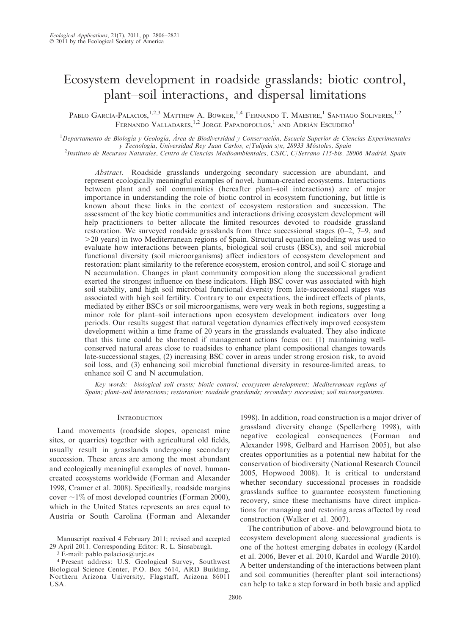# Ecosystem development in roadside grasslands: biotic control, plant–soil interactions, and dispersal limitations

PABLO GARCÍA-PALACIOS, <sup>1,2,3</sup> MATTHEW A. BOWKER, <sup>1,4</sup> FERNANDO T. MAESTRE, <sup>1</sup> SANTIAGO SOLIVERES, <sup>1,2</sup> FERNANDO VALLADARES, <sup>1,2</sup> JORGE PAPADOPOULOS, <sup>1</sup> AND ADRIÁN ESCUDERO<sup>1</sup>

<sup>1</sup> Departamento de Biología y Geología, Área de Biodiversidad y Conservación, Escuela Superior de Ciencias Experimentales y Tecnología, Universidad Rey Juan Carlos, c/Tulipán s/n, 28933 Móstoles, Spain

<sup>2</sup>Instituto de Recursos Naturales, Centro de Ciencias Medioambientales, CSIC, C/Serrano 115-bis, 28006 Madrid, Spain

Abstract. Roadside grasslands undergoing secondary succession are abundant, and represent ecologically meaningful examples of novel, human-created ecosystems. Interactions between plant and soil communities (hereafter plant–soil interactions) are of major importance in understanding the role of biotic control in ecosystem functioning, but little is known about these links in the context of ecosystem restoration and succession. The assessment of the key biotic communities and interactions driving ecosystem development will help practitioners to better allocate the limited resources devoted to roadside grassland restoration. We surveyed roadside grasslands from three successional stages  $(0-2, 7-9, 7)$ .20 years) in two Mediterranean regions of Spain. Structural equation modeling was used to evaluate how interactions between plants, biological soil crusts (BSCs), and soil microbial functional diversity (soil microorganisms) affect indicators of ecosystem development and restoration: plant similarity to the reference ecosystem, erosion control, and soil C storage and N accumulation. Changes in plant community composition along the successional gradient exerted the strongest influence on these indicators. High BSC cover was associated with high soil stability, and high soil microbial functional diversity from late-successional stages was associated with high soil fertility. Contrary to our expectations, the indirect effects of plants, mediated by either BSCs or soil microorganisms, were very weak in both regions, suggesting a minor role for plant–soil interactions upon ecosystem development indicators over long periods. Our results suggest that natural vegetation dynamics effectively improved ecosystem development within a time frame of 20 years in the grasslands evaluated. They also indicate that this time could be shortened if management actions focus on: (1) maintaining wellconserved natural areas close to roadsides to enhance plant compositional changes towards late-successional stages, (2) increasing BSC cover in areas under strong erosion risk, to avoid soil loss, and (3) enhancing soil microbial functional diversity in resource-limited areas, to enhance soil C and N accumulation.

Key words: biological soil crusts; biotic control; ecosystem development; Mediterranean regions of Spain; plant–soil interactions; restoration; roadside grasslands; secondary succession; soil microorganisms.

# **INTRODUCTION**

Land movements (roadside slopes, opencast mine sites, or quarries) together with agricultural old fields, usually result in grasslands undergoing secondary succession. These areas are among the most abundant and ecologically meaningful examples of novel, humancreated ecosystems worldwide (Forman and Alexander 1998, Cramer et al. 2008). Specifically, roadside margins cover  $\sim$ 1% of most developed countries (Forman 2000), which in the United States represents an area equal to Austria or South Carolina (Forman and Alexander

Alexander 1998, Gelbard and Harrison 2005), but also creates opportunities as a potential new habitat for the conservation of biodiversity (National Research Council 2005, Hopwood 2008). It is critical to understand whether secondary successional processes in roadside grasslands suffice to guarantee ecosystem functioning recovery, since these mechanisms have direct implications for managing and restoring areas affected by road construction (Walker et al. 2007). The contribution of above- and belowground biota to ecosystem development along successional gradients is

1998). In addition, road construction is a major driver of grassland diversity change (Spellerberg 1998), with negative ecological consequences (Forman and

one of the hottest emerging debates in ecology (Kardol et al. 2006, Bever et al. 2010, Kardol and Wardle 2010). A better understanding of the interactions between plant and soil communities (hereafter plant–soil interactions) can help to take a step forward in both basic and applied

Manuscript received 4 February 2011; revised and accepted 29 April 2011. Corresponding Editor: R. L. Sinsabaugh.

<sup>3</sup> E-mail: pablo.palacios@urjc.es

<sup>4</sup> Present address: U.S. Geological Survey, Southwest Biological Science Center, P.O. Box 5614, ARD Building, Northern Arizona University, Flagstaff, Arizona 86011 USA.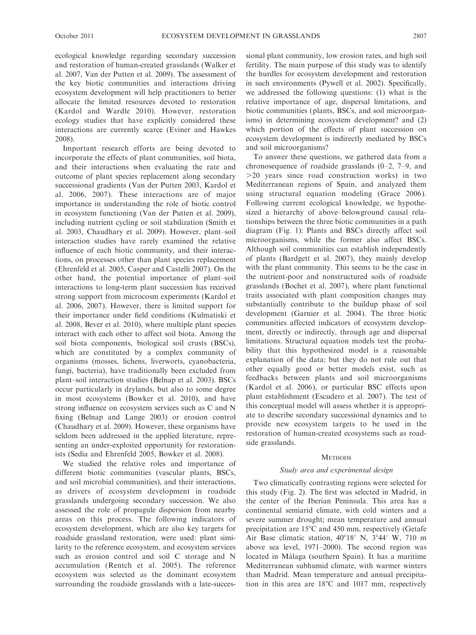ecological knowledge regarding secondary succession and restoration of human-created grasslands (Walker et al. 2007, Van der Putten et al. 2009). The assessment of the key biotic communities and interactions driving ecosystem development will help practitioners to better allocate the limited resources devoted to restoration (Kardol and Wardle 2010). However, restoration ecology studies that have explicitly considered these interactions are currently scarce (Eviner and Hawkes 2008).

Important research efforts are being devoted to incorporate the effects of plant communities, soil biota, and their interactions when evaluating the rate and outcome of plant species replacement along secondary successional gradients (Van der Putten 2003, Kardol et al. 2006, 2007). These interactions are of major importance in understanding the role of biotic control in ecosystem functioning (Van der Putten et al. 2009), including nutrient cycling or soil stabilization (Smith et al. 2003, Chaudhary et al. 2009). However, plant–soil interaction studies have rarely examined the relative influence of each biotic community, and their interactions, on processes other than plant species replacement (Ehrenfeld et al. 2005, Casper and Castelli 2007). On the other hand, the potential importance of plant–soil interactions to long-term plant succession has received strong support from microcosm experiments (Kardol et al. 2006, 2007). However, there is limited support for their importance under field conditions (Kulmatiski et al. 2008, Bever et al. 2010), where multiple plant species interact with each other to affect soil biota. Among the soil biota components, biological soil crusts (BSCs), which are constituted by a complex community of organisms (mosses, lichens, liverworts, cyanobacteria, fungi, bacteria), have traditionally been excluded from plant–soil interaction studies (Belnap et al. 2003). BSCs occur particularly in drylands, but also to some degree in most ecosystems (Bowker et al. 2010), and have strong influence on ecosystem services such as C and N fixing (Belnap and Lange 2003) or erosion control (Chaudhary et al. 2009). However, these organisms have seldom been addressed in the applied literature, representing an under-exploited opportunity for restorationists (Sedia and Ehrenfeld 2005, Bowker et al. 2008).

We studied the relative roles and importance of different biotic communities (vascular plants, BSCs, and soil microbial communities), and their interactions, as drivers of ecosystem development in roadside grasslands undergoing secondary succession. We also assessed the role of propagule dispersion from nearby areas on this process. The following indicators of ecosystem development, which are also key targets for roadside grassland restoration, were used: plant similarity to the reference ecosystem, and ecosystem services such as erosion control and soil C storage and N accumulation (Rentch et al. 2005). The reference ecosystem was selected as the dominant ecosystem surrounding the roadside grasslands with a late-successional plant community, low erosion rates, and high soil fertility. The main purpose of this study was to identify the hurdles for ecosystem development and restoration in such environments (Pywell et al. 2002). Specifically, we addressed the following questions: (1) what is the relative importance of age, dispersal limitations, and biotic communities (plants, BSCs, and soil microorganisms) in determining ecosystem development? and (2) which portion of the effects of plant succession on ecosystem development is indirectly mediated by BSCs and soil microorganisms?

To answer these questions, we gathered data from a chronosequence of roadside grasslands (0–2, 7–9, and  $>20$  years since road construction works) in two Mediterranean regions of Spain, and analyzed them using structural equation modeling (Grace 2006). Following current ecological knowledge, we hypothesized a hierarchy of above–belowground causal relationships between the three biotic communities in a path diagram (Fig. 1): Plants and BSCs directly affect soil microorganisms, while the former also affect BSCs. Although soil communities can establish independently of plants (Bardgett et al. 2007), they mainly develop with the plant community. This seems to be the case in the nutrient-poor and nonstructured soils of roadside grasslands (Bochet et al. 2007), where plant functional traits associated with plant composition changes may substantially contribute to the buildup phase of soil development (Garnier et al. 2004). The three biotic communities affected indicators of ecosystem development, directly or indirectly, through age and dispersal limitations. Structural equation models test the probability that this hypothesized model is a reasonable explanation of the data; but they do not rule out that other equally good or better models exist, such as feedbacks between plants and soil microorganisms (Kardol et al. 2006), or particular BSC effects upon plant establishment (Escudero et al. 2007). The test of this conceptual model will assess whether it is appropriate to describe secondary successional dynamics and to provide new ecosystem targets to be used in the restoration of human-created ecosystems such as roadside grasslands.

#### **METHODS**

## Study area and experimental design

Two climatically contrasting regions were selected for this study (Fig. 2). The first was selected in Madrid, in the center of the Iberian Peninsula. This area has a continental semiarid climate, with cold winters and a severe summer drought; mean temperature and annual precipitation are  $15^{\circ}$ C and  $450$  mm, respectively (Getafe Air Base climatic station,  $40^{\circ}18'$  N,  $3^{\circ}44'$  W, 710 m above sea level, 1971–2000). The second region was located in Málaga (southern Spain). It has a maritime Mediterranean subhumid climate, with warmer winters than Madrid. Mean temperature and annual precipitation in this area are  $18^{\circ}$ C and  $1017$  mm, respectively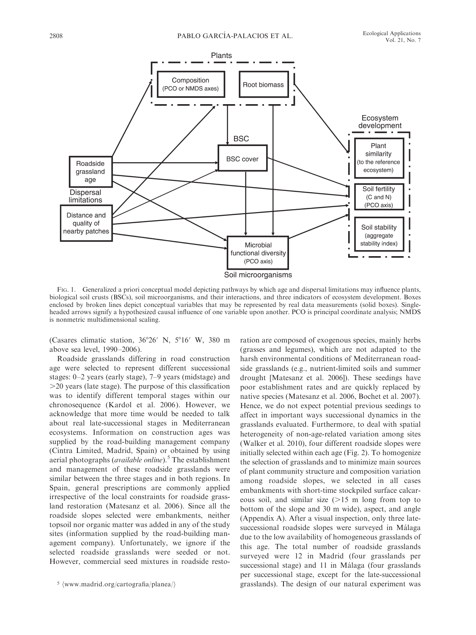

FIG. 1. Generalized a priori conceptual model depicting pathways by which age and dispersal limitations may influence plants, biological soil crusts (BSCs), soil microorganisms, and their interactions, and three indicators of ecosystem development. Boxes enclosed by broken lines depict conceptual variables that may be represented by real data measurements (solid boxes). Singleheaded arrows signify a hypothesized causal influence of one variable upon another. PCO is principal coordinate analysis; NMDS is nonmetric multidimensional scaling.

(Casares climatic station,  $36^{\circ}26'$  N,  $5^{\circ}16'$  W, 380 m above sea level, 1990–2006).

Roadside grasslands differing in road construction age were selected to represent different successional stages: 0–2 years (early stage), 7–9 years (midstage) and  $>$ 20 years (late stage). The purpose of this classification was to identify different temporal stages within our chronosequence (Kardol et al. 2006). However, we acknowledge that more time would be needed to talk about real late-successional stages in Mediterranean ecosystems. Information on construction ages was supplied by the road-building management company (Cintra Limited, Madrid, Spain) or obtained by using aerial photographs (*available online*).<sup>5</sup> The establishment and management of these roadside grasslands were similar between the three stages and in both regions. In Spain, general prescriptions are commonly applied irrespective of the local constraints for roadside grassland restoration (Matesanz et al. 2006). Since all the roadside slopes selected were embankments, neither topsoil nor organic matter was added in any of the study sites (information supplied by the road-building management company). Unfortunately, we ignore if the selected roadside grasslands were seeded or not. However, commercial seed mixtures in roadside restoration are composed of exogenous species, mainly herbs (grasses and legumes), which are not adapted to the harsh environmental conditions of Mediterranean roadside grasslands (e.g., nutrient-limited soils and summer drought [Matesanz et al. 2006]). These seedings have poor establishment rates and are quickly replaced by native species (Matesanz et al. 2006, Bochet et al. 2007). Hence, we do not expect potential previous seedings to affect in important ways successional dynamics in the grasslands evaluated. Furthermore, to deal with spatial heterogeneity of non-age-related variation among sites (Walker et al. 2010), four different roadside slopes were initially selected within each age (Fig. 2). To homogenize the selection of grasslands and to minimize main sources of plant community structure and composition variation among roadside slopes, we selected in all cases embankments with short-time stockpiled surface calcareous soil, and similar size  $(>=15 \text{ m} \cdot \text{long from top to})$ bottom of the slope and 30 m wide), aspect, and angle (Appendix A). After a visual inspection, only three latesuccessional roadside slopes were surveyed in Málaga due to the low availability of homogeneous grasslands of this age. The total number of roadside grasslands surveyed were 12 in Madrid (four grasslands per successional stage) and 11 in Málaga (four grasslands per successional stage, except for the late-successional grasslands). The design of our natural experiment was

 $5 \langle$ www.madrid.org/cartografia/planea/ $\rangle$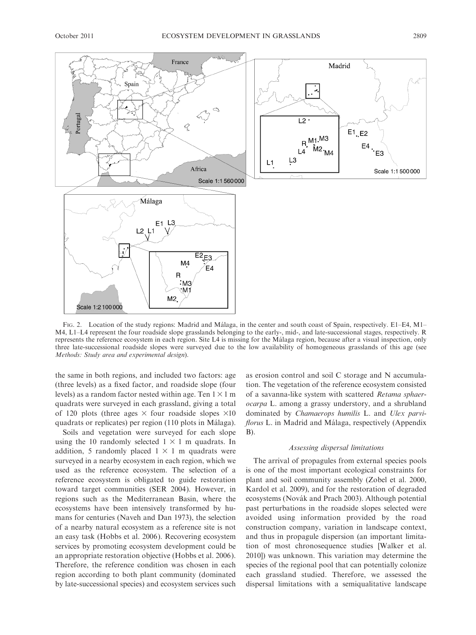

FIG. 2. Location of the study regions: Madrid and Málaga, in the center and south coast of Spain, respectively. E1–E4, M1– M4, L1–L4 represent the four roadside slope grasslands belonging to the early-, mid-, and late-successional stages, respectively. R represents the reference ecosystem in each region. Site L4 is missing for the Málaga region, because after a visual inspection, only three late-successional roadside slopes were surveyed due to the low availability of homogeneous grasslands of this age (see Methods: Study area and experimental design).

the same in both regions, and included two factors: age (three levels) as a fixed factor, and roadside slope (four levels) as a random factor nested within age. Ten  $1 \times 1$  m quadrats were surveyed in each grassland, giving a total of 120 plots (three ages  $\times$  four roadside slopes  $\times$ 10 quadrats or replicates) per region (110 plots in Málaga).

Soils and vegetation were surveyed for each slope using the 10 randomly selected  $1 \times 1$  m quadrats. In addition, 5 randomly placed  $1 \times 1$  m quadrats were surveyed in a nearby ecosystem in each region, which we used as the reference ecosystem. The selection of a reference ecosystem is obligated to guide restoration toward target communities (SER 2004). However, in regions such as the Mediterranean Basin, where the ecosystems have been intensively transformed by humans for centuries (Naveh and Dan 1973), the selection of a nearby natural ecosystem as a reference site is not an easy task (Hobbs et al. 2006). Recovering ecosystem services by promoting ecosystem development could be an appropriate restoration objective (Hobbs et al. 2006). Therefore, the reference condition was chosen in each region according to both plant community (dominated by late-successional species) and ecosystem services such

as erosion control and soil C storage and N accumulation. The vegetation of the reference ecosystem consisted of a savanna-like system with scattered Retama sphaerocarpa L. among a grassy understory, and a shrubland dominated by Chamaerops humilis L. and Ulex parviflorus L. in Madrid and Málaga, respectively (Appendix B).

## Assessing dispersal limitations

The arrival of propagules from external species pools is one of the most important ecological constraints for plant and soil community assembly (Zobel et al. 2000, Kardol et al. 2009), and for the restoration of degraded ecosystems (Novák and Prach 2003). Although potential past perturbations in the roadside slopes selected were avoided using information provided by the road construction company, variation in landscape context, and thus in propagule dispersion (an important limitation of most chronosequence studies [Walker et al. 2010]) was unknown. This variation may determine the species of the regional pool that can potentially colonize each grassland studied. Therefore, we assessed the dispersal limitations with a semiqualitative landscape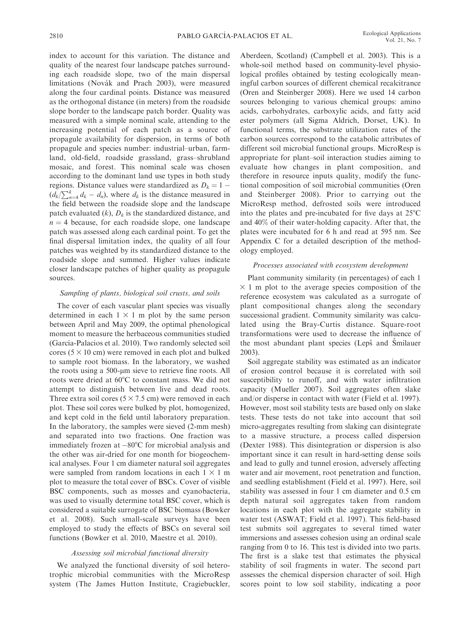index to account for this variation. The distance and quality of the nearest four landscape patches surrounding each roadside slope, two of the main dispersal limitations (Novák and Prach 2003), were measured along the four cardinal points. Distance was measured as the orthogonal distance (in meters) from the roadside slope border to the landscape patch border. Quality was measured with a simple nominal scale, attending to the increasing potential of each patch as a source of propagule availability for dispersion, in terms of both propagule and species number: industrial–urban, farmland, old-field, roadside grassland, grass–shrubland mosaic, and forest. This nominal scale was chosen according to the dominant land use types in both study regions. Distance values were standardized as  $D_k = 1 (d_k/\sum_{n=4}^k d_k - d_n)$ , where  $d_k$  is the distance measured in the field between the roadside slope and the landscape patch evaluated  $(k)$ ,  $D_k$  is the standardized distance, and  $n = 4$  because, for each roadside slope, one landscape patch was assessed along each cardinal point. To get the final dispersal limitation index, the quality of all four patches was weighted by its standardized distance to the roadside slope and summed. Higher values indicate closer landscape patches of higher quality as propagule sources.

## Sampling of plants, biological soil crusts, and soils

The cover of each vascular plant species was visually determined in each  $1 \times 1$  m plot by the same person between April and May 2009, the optimal phenological moment to measure the herbaceous communities studied (García-Palacios et al. 2010). Two randomly selected soil cores ( $5 \times 10$  cm) were removed in each plot and bulked to sample root biomass. In the laboratory, we washed the roots using a 500-µm sieve to retrieve fine roots. All roots were dried at 60°C to constant mass. We did not attempt to distinguish between live and dead roots. Three extra soil cores  $(5 \times 7.5 \text{ cm})$  were removed in each plot. These soil cores were bulked by plot, homogenized, and kept cold in the field until laboratory preparation. In the laboratory, the samples were sieved (2-mm mesh) and separated into two fractions. One fraction was immediately frozen at  $-80^{\circ}$ C for microbial analysis and the other was air-dried for one month for biogeochemical analyses. Four 1 cm diameter natural soil aggregates were sampled from random locations in each  $1 \times 1$  m plot to measure the total cover of BSCs. Cover of visible BSC components, such as mosses and cyanobacteria, was used to visually determine total BSC cover, which is considered a suitable surrogate of BSC biomass (Bowker et al. 2008). Such small-scale surveys have been employed to study the effects of BSCs on several soil functions (Bowker et al. 2010, Maestre et al. 2010).

# Assessing soil microbial functional diversity

We analyzed the functional diversity of soil heterotrophic microbial communities with the MicroResp system (The James Hutton Institute, Cragiebuckler, Aberdeen, Scotland) (Campbell et al. 2003). This is a whole-soil method based on community-level physiological profiles obtained by testing ecologically meaningful carbon sources of different chemical recalcitrance (Oren and Steinberger 2008). Here we used 14 carbon sources belonging to various chemical groups: amino acids, carbohydrates, carboxylic acids, and fatty acid ester polymers (all Sigma Aldrich, Dorset, UK). In functional terms, the substrate utilization rates of the carbon sources correspond to the catabolic attributes of different soil microbial functional groups. MicroResp is appropriate for plant–soil interaction studies aiming to evaluate how changes in plant composition, and therefore in resource inputs quality, modify the functional composition of soil microbial communities (Oren and Steinberger 2008). Prior to carrying out the MicroResp method, defrosted soils were introduced into the plates and pre-incubated for five days at  $25^{\circ}$ C and 40% of their water-holding capacity. After that, the plates were incubated for 6 h and read at 595 nm. See Appendix C for a detailed description of the methodology employed.

### Processes associated with ecosystem development

Plant community similarity (in percentages) of each 1  $\times$  1 m plot to the average species composition of the reference ecosystem was calculated as a surrogate of plant compositional changes along the secondary successional gradient. Community similarity was calculated using the Bray-Curtis distance. Square-root transformations were used to decrease the influence of the most abundant plant species (Lepš and Smilauer 2003).

Soil aggregate stability was estimated as an indicator of erosion control because it is correlated with soil susceptibility to runoff, and with water infiltration capacity (Mueller 2007). Soil aggregates often slake and/or disperse in contact with water (Field et al. 1997). However, most soil stability tests are based only on slake tests. These tests do not take into account that soil micro-aggregates resulting from slaking can disintegrate to a massive structure, a process called dispersion (Dexter 1988). This disintegration or dispersion is also important since it can result in hard-setting dense soils and lead to gully and tunnel erosion, adversely affecting water and air movement, root penetration and function, and seedling establishment (Field et al. 1997). Here, soil stability was assessed in four 1 cm diameter and 0.5 cm depth natural soil aggregates taken from random locations in each plot with the aggregate stability in water test (ASWAT; Field et al. 1997). This field-based test submits soil aggregates to several timed water immersions and assesses cohesion using an ordinal scale ranging from 0 to 16. This test is divided into two parts. The first is a slake test that estimates the physical stability of soil fragments in water. The second part assesses the chemical dispersion character of soil. High scores point to low soil stability, indicating a poor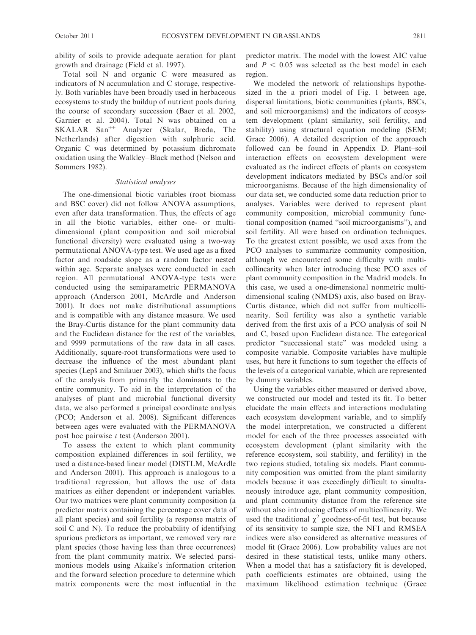Total soil N and organic C were measured as indicators of N accumulation and C storage, respectively. Both variables have been broadly used in herbaceous ecosystems to study the buildup of nutrient pools during the course of secondary succession (Baer et al. 2002, Garnier et al. 2004). Total N was obtained on a  $SKALAR$  San<sup>++</sup> Analyzer (Skalar, Breda, The Netherlands) after digestion with sulphuric acid. Organic C was determined by potassium dichromate oxidation using the Walkley-Black method (Nelson and Sommers 1982).

# Statistical analyses

The one-dimensional biotic variables (root biomass and BSC cover) did not follow ANOVA assumptions, even after data transformation. Thus, the effects of age in all the biotic variables, either one- or multidimensional (plant composition and soil microbial functional diversity) were evaluated using a two-way permutational ANOVA-type test. We used age as a fixed factor and roadside slope as a random factor nested within age. Separate analyses were conducted in each region. All permutational ANOVA-type tests were conducted using the semiparametric PERMANOVA approach (Anderson 2001, McArdle and Anderson 2001). It does not make distributional assumptions and is compatible with any distance measure. We used the Bray-Curtis distance for the plant community data and the Euclidean distance for the rest of the variables, and 9999 permutations of the raw data in all cases. Additionally, square-root transformations were used to decrease the influence of the most abundant plant species (Lepš and Smilauer 2003), which shifts the focus of the analysis from primarily the dominants to the entire community. To aid in the interpretation of the analyses of plant and microbial functional diversity data, we also performed a principal coordinate analysis (PCO; Anderson et al. 2008). Significant differences between ages were evaluated with the PERMANOVA post hoc pairwise *t* test (Anderson 2001).

To assess the extent to which plant community composition explained differences in soil fertility, we used a distance-based linear model (DISTLM, McArdle and Anderson 2001). This approach is analogous to a traditional regression, but allows the use of data matrices as either dependent or independent variables. Our two matrices were plant community composition (a predictor matrix containing the percentage cover data of all plant species) and soil fertility (a response matrix of soil C and N). To reduce the probability of identifying spurious predictors as important, we removed very rare plant species (those having less than three occurrences) from the plant community matrix. We selected parsimonious models using Akaike's information criterion and the forward selection procedure to determine which matrix components were the most influential in the predictor matrix. The model with the lowest AIC value and  $P < 0.05$  was selected as the best model in each region.

We modeled the network of relationships hypothesized in the a priori model of Fig. 1 between age, dispersal limitations, biotic communities (plants, BSCs, and soil microorganisms) and the indicators of ecosystem development (plant similarity, soil fertility, and stability) using structural equation modeling (SEM; Grace 2006). A detailed description of the approach followed can be found in Appendix D. Plant–soil interaction effects on ecosystem development were evaluated as the indirect effects of plants on ecosystem development indicators mediated by BSCs and/or soil microorganisms. Because of the high dimensionality of our data set, we conducted some data reduction prior to analyses. Variables were derived to represent plant community composition, microbial community functional composition (named ''soil microorganisms''), and soil fertility. All were based on ordination techniques. To the greatest extent possible, we used axes from the PCO analyses to summarize community composition, although we encountered some difficulty with multicollinearity when later introducing these PCO axes of plant community composition in the Madrid models. In this case, we used a one-dimensional nonmetric multidimensional scaling (NMDS) axis, also based on Bray-Curtis distance, which did not suffer from multicollinearity. Soil fertility was also a synthetic variable derived from the first axis of a PCO analysis of soil N and C, based upon Euclidean distance. The categorical predictor ''successional state'' was modeled using a composite variable. Composite variables have multiple uses, but here it functions to sum together the effects of the levels of a categorical variable, which are represented by dummy variables.

Using the variables either measured or derived above, we constructed our model and tested its fit. To better elucidate the main effects and interactions modulating each ecosystem development variable, and to simplify the model interpretation, we constructed a different model for each of the three processes associated with ecosystem development (plant similarity with the reference ecosystem, soil stability, and fertility) in the two regions studied, totaling six models. Plant community composition was omitted from the plant similarity models because it was exceedingly difficult to simultaneously introduce age, plant community composition, and plant community distance from the reference site without also introducing effects of multicollinearity. We used the traditional  $\chi^2$  goodness-of-fit test, but because of its sensitivity to sample size, the NFI and RMSEA indices were also considered as alternative measures of model fit (Grace 2006). Low probability values are not desired in these statistical tests, unlike many others. When a model that has a satisfactory fit is developed, path coefficients estimates are obtained, using the maximum likelihood estimation technique (Grace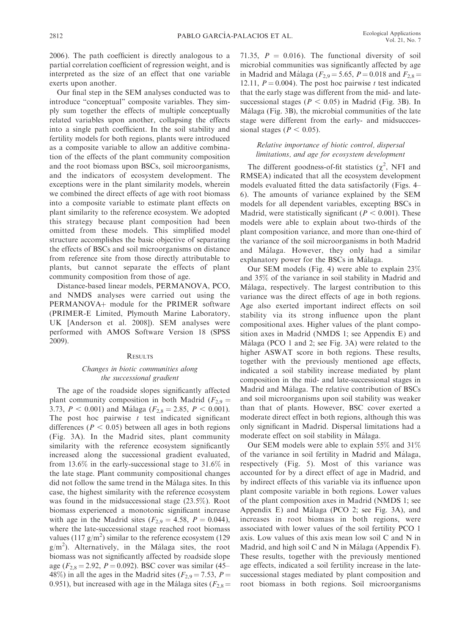2006). The path coefficient is directly analogous to a partial correlation coefficient of regression weight, and is interpreted as the size of an effect that one variable exerts upon another.

Our final step in the SEM analyses conducted was to introduce ''conceptual'' composite variables. They simply sum together the effects of multiple conceptually related variables upon another, collapsing the effects into a single path coefficient. In the soil stability and fertility models for both regions, plants were introduced as a composite variable to allow an additive combination of the effects of the plant community composition and the root biomass upon BSCs, soil microorganisms, and the indicators of ecosystem development. The exceptions were in the plant similarity models, wherein we combined the direct effects of age with root biomass into a composite variable to estimate plant effects on plant similarity to the reference ecosystem. We adopted this strategy because plant composition had been omitted from these models. This simplified model structure accomplishes the basic objective of separating the effects of BSCs and soil microorganisms on distance from reference site from those directly attributable to plants, but cannot separate the effects of plant community composition from those of age.

Distance-based linear models, PERMANOVA, PCO, and NMDS analyses were carried out using the PERMANOVA+ module for the PRIMER software (PRIMER-E Limited, Plymouth Marine Laboratory, UK [Anderson et al. 2008]). SEM analyses were performed with AMOS Software Version 18 (SPSS 2009).

#### **RESULTS**

# Changes in biotic communities along the successional gradient

The age of the roadside slopes significantly affected plant community composition in both Madrid ( $F_{2,9}$  = 3.73,  $P < 0.001$ ) and Málaga ( $F_{2,8} = 2.85$ ,  $P < 0.001$ ). The post hoc pairwise  $t$  test indicated significant differences ( $P < 0.05$ ) between all ages in both regions (Fig. 3A). In the Madrid sites, plant community similarity with the reference ecosystem significantly increased along the successional gradient evaluated, from 13.6% in the early-successional stage to 31.6% in the late stage. Plant community compositional changes did not follow the same trend in the Málaga sites. In this case, the highest similarity with the reference ecosystem was found in the midsuccessional stage (23.5%). Root biomass experienced a monotonic significant increase with age in the Madrid sites ( $F_{2,9} = 4.58$ ,  $P = 0.044$ ), where the late-successional stage reached root biomass values (117  $g/m<sup>2</sup>$ ) similar to the reference ecosystem (129  $g/m<sup>2</sup>$ ). Alternatively, in the Málaga sites, the root biomass was not significantly affected by roadside slope age ( $F_{2,8} = 2.92$ ,  $P = 0.092$ ). BSC cover was similar (45– 48%) in all the ages in the Madrid sites ( $F_{2,9} = 7.53$ ,  $P =$ 0.951), but increased with age in the Málaga sites ( $F_{2,8}$  =

71.35,  $P = 0.016$ ). The functional diversity of soil microbial communities was significantly affected by age in Madrid and Málaga ( $F_{2,9} = 5.65$ ,  $P = 0.018$  and  $F_{2,8} =$ 12.11,  $P = 0.004$ ). The post hoc pairwise t test indicated that the early stage was different from the mid- and latesuccessional stages ( $P < 0.05$ ) in Madrid (Fig. 3B). In Málaga (Fig. 3B), the microbial communities of the late stage were different from the early- and midsucccessional stages ( $P < 0.05$ ).

# Relative importance of biotic control, dispersal limitations, and age for ecosystem development

The different goodness-of-fit statistics  $(\chi^2)$ , NFI and RMSEA) indicated that all the ecosystem development models evaluated fitted the data satisfactorily (Figs. 4– 6). The amounts of variance explained by the SEM models for all dependent variables, excepting BSCs in Madrid, were statistically significant ( $P < 0.001$ ). These models were able to explain about two-thirds of the plant composition variance, and more than one-third of the variance of the soil microorganisms in both Madrid and Málaga. However, they only had a similar explanatory power for the BSCs in Málaga.

Our SEM models (Fig. 4) were able to explain 23% and 35% of the variance in soil stability in Madrid and Málaga, respectively. The largest contribution to this variance was the direct effects of age in both regions. Age also exerted important indirect effects on soil stability via its strong influence upon the plant compositional axes. Higher values of the plant composition axes in Madrid (NMDS 1; see Appendix E) and Málaga (PCO 1 and 2; see Fig. 3A) were related to the higher ASWAT score in both regions. These results, together with the previously mentioned age effects, indicated a soil stability increase mediated by plant composition in the mid- and late-successional stages in Madrid and Málaga. The relative contribution of BSCs and soil microorganisms upon soil stability was weaker than that of plants. However, BSC cover exerted a moderate direct effect in both regions, although this was only significant in Madrid. Dispersal limitations had a moderate effect on soil stability in Málaga.

Our SEM models were able to explain 55% and 31% of the variance in soil fertility in Madrid and Málaga, respectively (Fig. 5). Most of this variance was accounted for by a direct effect of age in Madrid, and by indirect effects of this variable via its influence upon plant composite variable in both regions. Lower values of the plant composition axes in Madrid (NMDS 1; see Appendix E) and Málaga (PCO 2; see Fig. 3A), and increases in root biomass in both regions, were associated with lower values of the soil fertility PCO 1 axis. Low values of this axis mean low soil C and N in Madrid, and high soil C and N in Málaga (Appendix F). These results, together with the previously mentioned age effects, indicated a soil fertility increase in the latesuccessional stages mediated by plant composition and root biomass in both regions. Soil microorganisms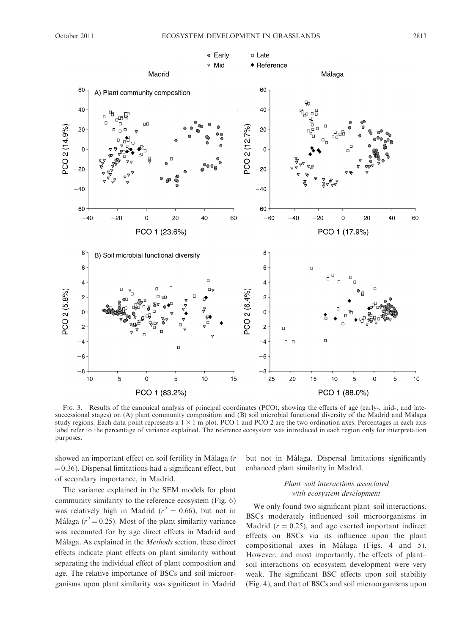

FIG. 3. Results of the canonical analysis of principal coordinates (PCO), showing the effects of age (early-, mid-, and latesuccessional stages) on (A) plant community composition and (B) soil microbial functional diversity of the Madrid and Málaga study regions. Each data point represents a  $1 \times 1$  m plot. PCO 1 and PCO 2 are the two ordination axes. Percentages in each axis label refer to the percentage of variance explained. The reference ecosystem was introduced in each region only for interpretation purposes.

showed an important effect on soil fertility in Málaga (r  $(0.36)$ . Dispersal limitations had a significant effect, but of secondary importance, in Madrid.

The variance explained in the SEM models for plant community similarity to the reference ecosystem (Fig. 6) was relatively high in Madrid ( $r^2 = 0.66$ ), but not in Málaga ( $r^2$  = 0.25). Most of the plant similarity variance was accounted for by age direct effects in Madrid and Málaga. As explained in the *Methods* section, these direct effects indicate plant effects on plant similarity without separating the individual effect of plant composition and age. The relative importance of BSCs and soil microorganisms upon plant similarity was significant in Madrid

but not in Málaga. Dispersal limitations significantly enhanced plant similarity in Madrid.

# Plant–soil interactions associated with ecosystem development

We only found two significant plant–soil interactions. BSCs moderately influenced soil microorganisms in Madrid ( $r = 0.25$ ), and age exerted important indirect effects on BSCs via its influence upon the plant compositional axes in Málaga (Figs. 4 and 5). However, and most importantly, the effects of plant– soil interactions on ecosystem development were very weak. The significant BSC effects upon soil stability (Fig. 4), and that of BSCs and soil microorganisms upon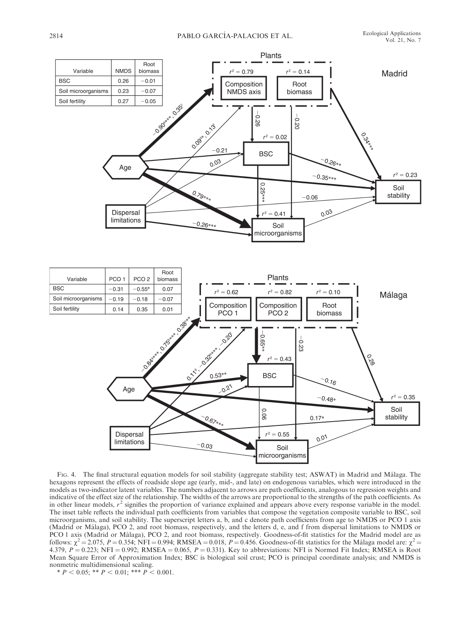

FIG. 4. The final structural equation models for soil stability (aggregate stability test; ASWAT) in Madrid and Málaga. The hexagons represent the effects of roadside slope age (early, mid-, and late) on endogenous variables, which were introduced in the models as two-indicator latent variables. The numbers adjacent to arrows are path coefficients, analogous to regression weights and indicative of the effect size of the relationship. The widths of the arrows are proportional to the strengths of the path coefficients. As in other linear models,  $r^2$  signifies the proportion of variance explained and appears above every response variable in the model. The inset table reflects the individual path coefficients from variables that compose the vegetation composite variable to BSC, soil microorganisms, and soil stability. The superscript letters a, b, and c denote path coefficients from age to NMDS or PCO 1 axis (Madrid or Málaga), PCO 2, and root biomass, respectively, and the letters d, e, and f from dispersal limitations to NMDS or PCO 1 axis (Madrid or Málaga), PCO 2, and root biomass, respectively. Goodness-of-fit statistics for the Madrid model are as follows:  $\chi^2 = 2.075$ , P = 0.354; NFI = 0.994; RMSEA = 0.018, P = 0.456. Goodness-of-fit statistics for the Málaga model are:  $\chi^2$  = 4.379,  $P = 0.223$ ; NFI = 0.992; RMSEA = 0.065,  $P = 0.331$ ). Key to abbreviations: NFI is Normed Fit Index; RMSEA is Root Mean Square Error of Approximation Index; BSC is biological soil crust; PCO is principal coordinate analysis; and NMDS is nonmetric multidimensional scaling.

\*  $P < 0.05$ ; \*\*  $P < 0.01$ ; \*\*\*  $P < 0.001$ .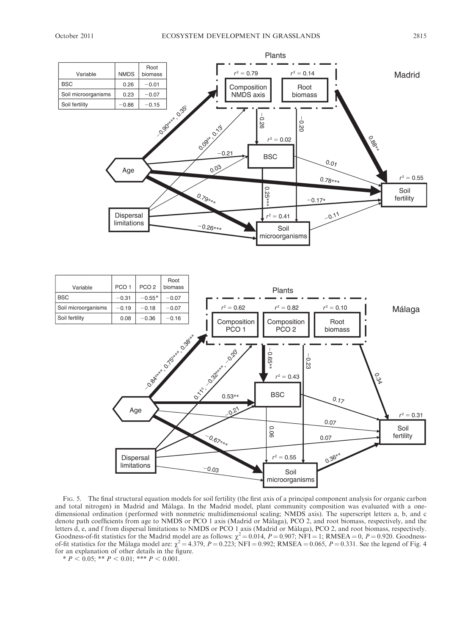**BSC** 

Soil fertility

Variable

Soil microorganisms

**NMDS** 

 $0.26$ 

 $0.23$ 

 $-0.86$ 

Age

Dispersal

limitations



 $0.25***$ 

 $r^2 = 0.41$ 

Soil microorganisms

 $0, 7, 9, ...$ 

 $-0.26***$ 

 $0.78***$ 

 $0.11$ 

 $-0.17*$ 



FIG. 5. The final structural equation models for soil fertility (the first axis of a principal component analysis for organic carbon and total nitrogen) in Madrid and Málaga. In the Madrid model, plant community composition was evaluated with a onedimensional ordination (performed with nonmetric multidimensional scaling; NMDS axis). The superscript letters a, b, and c denote path coefficients from age to NMDS or PCO 1 axis (Madrid or Málaga), PCO 2, and root biomass, respectively, and the letters d, e, and f from dispersal limitations to NMDS or PCO 1 axis (Madrid or Málaga), PCO 2, and root biomass, respectively. Goodness-of-fit statistics for the Madrid model are as follows:  $\chi^2 = 0.014$ ,  $P = 0.907$ ; NFI = 1; RMSEA = 0,  $P = 0.920$ . Goodnessof-fit statistics for the Málaga model are:  $\chi^2 = 4.379$ ,  $P = 0.223$ ; NFI = 0.992; RMSEA = 0.065, P = 0.331. See the legend of Fig. 4 for an explanation of other details in the figure.

\*  $P < 0.05$ ; \*\*  $P < 0.01$ ; \*\*\*  $P < 0.001$ .

 $r^2 = 0.55$ 

Soil

fertility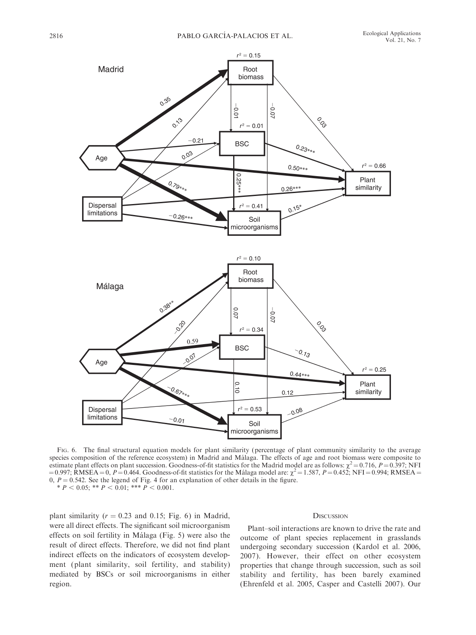

FIG. 6. The final structural equation models for plant similarity (percentage of plant community similarity to the average species composition of the reference ecosystem) in Madrid and Málaga. The effects of age and root biomass were composite to estimate plant effects on plant succession. Goodness-of-fit statistics for the Madrid model are as follows:  $\chi^2$  = 0.716, P = 0.397; NFI = 0.997; RMSEA = 0, P = 0.464. Goodness-of-fit statistics for the Málaga model are:  $\chi^2$  = 1.587, P = 0.452; NFI = 0.994; RMSEA = 0,  $P = 0.542$ . See the legend of Fig. 4 for an explanation of other details in the figure. \*  $P < 0.05$ ; \*\*  $P < 0.01$ ; \*\*\*  $P < 0.001$ .

plant similarity ( $r = 0.23$  and 0.15; Fig. 6) in Madrid, were all direct effects. The significant soil microorganism effects on soil fertility in Málaga (Fig. 5) were also the result of direct effects. Therefore, we did not find plant indirect effects on the indicators of ecosystem development (plant similarity, soil fertility, and stability) mediated by BSCs or soil microorganisms in either region.

#### **DISCUSSION**

Plant–soil interactions are known to drive the rate and outcome of plant species replacement in grasslands undergoing secondary succession (Kardol et al. 2006, 2007). However, their effect on other ecosystem properties that change through succession, such as soil stability and fertility, has been barely examined (Ehrenfeld et al. 2005, Casper and Castelli 2007). Our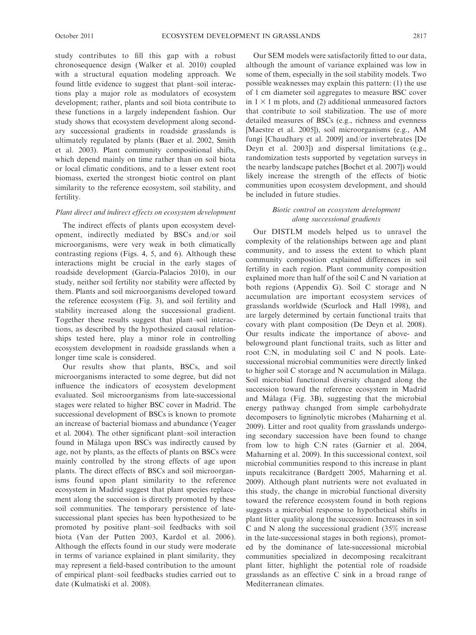study contributes to fill this gap with a robust chronosequence design (Walker et al. 2010) coupled with a structural equation modeling approach. We found little evidence to suggest that plant–soil interactions play a major role as modulators of ecosystem development; rather, plants and soil biota contribute to these functions in a largely independent fashion. Our study shows that ecosystem development along secondary successional gradients in roadside grasslands is ultimately regulated by plants (Baer et al. 2002, Smith et al. 2003). Plant community compositional shifts, which depend mainly on time rather than on soil biota or local climatic conditions, and to a lesser extent root biomass, exerted the strongest biotic control on plant similarity to the reference ecosystem, soil stability, and fertility.

## Plant direct and indirect effects on ecosystem development

The indirect effects of plants upon ecosystem development, indirectly mediated by BSCs and/or soil microorganisms, were very weak in both climatically contrasting regions (Figs. 4, 5, and 6). Although these interactions might be crucial in the early stages of roadside development (García-Palacios 2010), in our study, neither soil fertility nor stability were affected by them. Plants and soil microorganisms developed toward the reference ecosystem (Fig. 3), and soil fertility and stability increased along the successional gradient. Together these results suggest that plant–soil interactions, as described by the hypothesized causal relationships tested here, play a minor role in controlling ecosystem development in roadside grasslands when a longer time scale is considered.

Our results show that plants, BSCs, and soil microorganisms interacted to some degree, but did not influence the indicators of ecosystem development evaluated. Soil microorganisms from late-successional stages were related to higher BSC cover in Madrid. The successional development of BSCs is known to promote an increase of bacterial biomass and abundance (Yeager et al. 2004). The other significant plant–soil interaction found in Málaga upon BSCs was indirectly caused by age, not by plants, as the effects of plants on BSCs were mainly controlled by the strong effects of age upon plants. The direct effects of BSCs and soil microorganisms found upon plant similarity to the reference ecosystem in Madrid suggest that plant species replacement along the succession is directly promoted by these soil communities. The temporary persistence of latesuccessional plant species has been hypothesized to be promoted by positive plant–soil feedbacks with soil biota (Van der Putten 2003, Kardol et al. 2006). Although the effects found in our study were moderate in terms of variance explained in plant similarity, they may represent a field-based contribution to the amount of empirical plant–soil feedbacks studies carried out to date (Kulmatiski et al. 2008).

Our SEM models were satisfactorily fitted to our data, although the amount of variance explained was low in some of them, especially in the soil stability models. Two possible weaknesses may explain this pattern: (1) the use of 1 cm diameter soil aggregates to measure BSC cover in  $1 \times 1$  m plots, and (2) additional unmeasured factors that contribute to soil stabilization. The use of more detailed measures of BSCs (e.g., richness and evenness [Maestre et al. 2005]), soil microorganisms (e.g., AM fungi [Chaudhary et al. 2009] and/or invertebrates [De Deyn et al. 2003]) and dispersal limitations (e.g., randomization tests supported by vegetation surveys in the nearby landscape patches [Bochet et al. 2007]) would likely increase the strength of the effects of biotic communities upon ecosystem development, and should be included in future studies.

## Biotic control on ecosystem development along successional gradients

Our DISTLM models helped us to unravel the complexity of the relationships between age and plant community, and to assess the extent to which plant community composition explained differences in soil fertility in each region. Plant community composition explained more than half of the soil C and N variation at both regions (Appendix G). Soil C storage and N accumulation are important ecosystem services of grasslands worldwide (Scurlock and Hall 1998), and are largely determined by certain functional traits that covary with plant composition (De Deyn et al. 2008). Our results indicate the importance of above- and belowground plant functional traits, such as litter and root C:N, in modulating soil C and N pools. Latesuccessional microbial communities were directly linked to higher soil C storage and N accumulation in Málaga. Soil microbial functional diversity changed along the succession toward the reference ecosystem in Madrid and Málaga (Fig. 3B), suggesting that the microbial energy pathway changed from simple carbohydrate decomposers to ligninolytic microbes (Maharning et al. 2009). Litter and root quality from grasslands undergoing secondary succession have been found to change from low to high C:N rates (Garnier et al. 2004, Maharning et al. 2009). In this successional context, soil microbial communities respond to this increase in plant inputs recalcitrance (Bardgett 2005, Maharning et al. 2009). Although plant nutrients were not evaluated in this study, the change in microbial functional diversity toward the reference ecosystem found in both regions suggests a microbial response to hypothetical shifts in plant litter quality along the succession. Increases in soil C and N along the successional gradient (35% increase in the late-successional stages in both regions), promoted by the dominance of late-successional microbial communities specialized in decomposing recalcitrant plant litter, highlight the potential role of roadside grasslands as an effective C sink in a broad range of Mediterranean climates.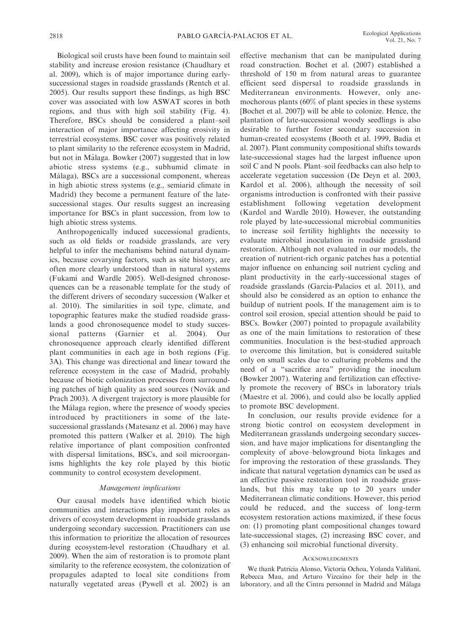Biological soil crusts have been found to maintain soil stability and increase erosion resistance (Chaudhary et al. 2009), which is of major importance during earlysuccessional stages in roadside grasslands (Rentch et al. 2005). Our results support these findings, as high BSC cover was associated with low ASWAT scores in both regions, and thus with high soil stability (Fig. 4). Therefore, BSCs should be considered a plant–soil interaction of major importance affecting erosivity in terrestrial ecosystems. BSC cover was positively related to plant similarity to the reference ecosystem in Madrid, but not in Málaga. Bowker (2007) suggested that in low abiotic stress systems (e.g., subhumid climate in Málaga), BSCs are a successional component, whereas in high abiotic stress systems (e.g., semiarid climate in Madrid) they become a permanent feature of the latesuccessional stages. Our results suggest an increasing importance for BSCs in plant succession, from low to high abiotic stress systems.

Anthropogenically induced successional gradients, such as old fields or roadside grasslands, are very helpful to infer the mechanisms behind natural dynamics, because covarying factors, such as site history, are often more clearly understood than in natural systems (Fukami and Wardle 2005). Well-designed chronosequences can be a reasonable template for the study of the different drivers of secondary succession (Walker et al. 2010). The similarities in soil type, climate, and topographic features make the studied roadside grasslands a good chronosequence model to study successional patterns (Garnier et al. 2004). Our chronosequence approach clearly identified different plant communities in each age in both regions (Fig. 3A). This change was directional and linear toward the reference ecosystem in the case of Madrid, probably because of biotic colonization processes from surrounding patches of high quality as seed sources (Novák and Prach 2003). A divergent trajectory is more plausible for the Málaga region, where the presence of woody species introduced by practitioners in some of the latesuccessional grasslands (Matesanz et al. 2006) may have promoted this pattern (Walker et al. 2010). The high relative importance of plant composition confronted with dispersal limitations, BSCs, and soil microorganisms highlights the key role played by this biotic community to control ecosystem development.

## Management implications

Our causal models have identified which biotic communities and interactions play important roles as drivers of ecosystem development in roadside grasslands undergoing secondary succession. Practitioners can use this information to prioritize the allocation of resources during ecosystem-level restoration (Chaudhary et al. 2009). When the aim of restoration is to promote plant similarity to the reference ecosystem, the colonization of propagules adapted to local site conditions from naturally vegetated areas (Pywell et al. 2002) is an

effective mechanism that can be manipulated during road construction. Bochet et al. (2007) established a threshold of 150 m from natural areas to guarantee efficient seed dispersal to roadside grasslands in Mediterranean environments. However, only anemochorous plants (60% of plant species in these systems [Bochet et al. 2007]) will be able to colonize. Hence, the plantation of late-successional woody seedlings is also desirable to further foster secondary succession in human-created ecosystems (Booth et al. 1999, Badia et al. 2007). Plant community compositional shifts towards late-successional stages had the largest influence upon soil C and N pools. Plant–soil feedbacks can also help to accelerate vegetation succession (De Deyn et al. 2003, Kardol et al. 2006), although the necessity of soil organisms introduction is confronted with their passive establishment following vegetation development (Kardol and Wardle 2010). However, the outstanding role played by late-successional microbial communities to increase soil fertility highlights the necessity to evaluate microbial inoculation in roadside grassland restoration. Although not evaluated in our models, the creation of nutrient-rich organic patches has a potential major influence on enhancing soil nutrient cycling and plant productivity in the early-successional stages of roadside grasslands (García-Palacios et al. 2011), and should also be considered as an option to enhance the buildup of nutrient pools. If the management aim is to control soil erosion, special attention should be paid to BSCs. Bowker (2007) pointed to propagule availability as one of the main limitations to restoration of these communities. Inoculation is the best-studied approach to overcome this limitation, but is considered suitable only on small scales due to culturing problems and the need of a ''sacrifice area'' providing the inoculum (Bowker 2007). Watering and fertilization can effectively promote the recovery of BSCs in laboratory trials (Maestre et al. 2006), and could also be locally applied to promote BSC development.

In conclusion, our results provide evidence for a strong biotic control on ecosystem development in Mediterranean grasslands undergoing secondary succession, and have major implications for disentangling the complexity of above–belowground biota linkages and for improving the restoration of these grasslands. They indicate that natural vegetation dynamics can be used as an effective passive restoration tool in roadside grasslands, but this may take up to 20 years under Mediterranean climatic conditions. However, this period could be reduced, and the success of long-term ecosystem restoration actions maximized, if these focus on: (1) promoting plant compositional changes toward late-successional stages, (2) increasing BSC cover, and (3) enhancing soil microbial functional diversity.

#### **ACKNOWLEDGMENTS**

We thank Patricia Alonso, Victoria Ochoa, Yolanda Valiñani, Rebecca Mau, and Arturo Vizcaíno for their help in the laboratory, and all the Cintra personnel in Madrid and Málaga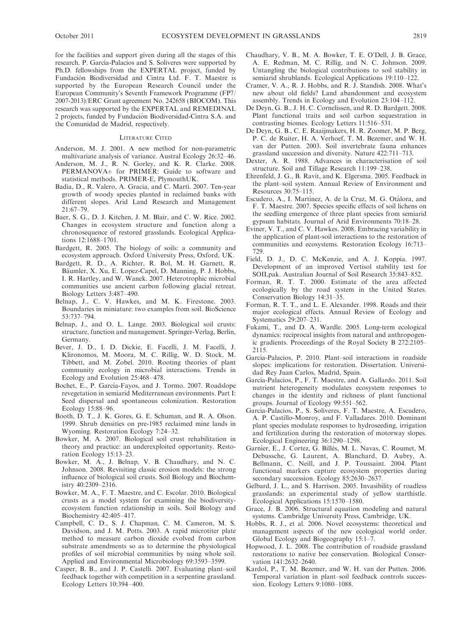for the facilities and support given during all the stages of this research. P. García-Palacios and S. Soliveres were supported by Ph.D. fellowships from the EXPERTAL project, funded by Fundación Biodiversidad and Cintra Ltd. F. T. Maestre is supported by the European Research Council under the European Community's Seventh Framework Programme (FP7/ 2007-2013)/ERC Grant agreement No. 242658 (BIOCOM). This research was supported by the EXPERTAL and REMEDINAL 2 projects, funded by Fundación Biodiversidad-Cintra S.A. and the Comunidad de Madrid, respectively.

#### LITERATURE CITED

- Anderson, M. J. 2001. A new method for non-parametric multivariate analysis of variance. Austral Ecology 26:32–46.
- Anderson, M. J., R. N. Gorley, and K. R. Clarke. 2008. PERMANOVA+ for PRIMER: Guide to software and statistical methods. PRIMER-E, PlymouthUK.
- Badia, D., R. Valero, A. Gracia, and C. Martí. 2007. Ten-year growth of woody species planted in reclaimed banks with different slopes. Arid Land Research and Management 21:67–79.
- Baer, S. G., D. J. Kitchen, J. M. Blair, and C. W. Rice. 2002. Changes in ecosystem structure and function along a chronosequence of restored grasslands. Ecological Applications 12:1688–1701.
- Bardgett, R. 2005. The biology of soils: a community and ecosystem approach. Oxford University Press, Oxford, UK.
- Bardgett, R. D., A. Richter, R. Bol, M. H. Garnett, R. Bäumler, X. Xu, E. Lopez-Capel, D. Manning, P. J. Hobbs, I. R. Hartley, and W. Wanek. 2007. Heterotrophic microbial communities use ancient carbon following glacial retreat. Biology Letters 3:487–490.
- Belnap, J., C. V. Hawkes, and M. K. Firestone. 2003. Boundaries in miniature: two examples from soil. BioScience 53:737–794.
- Belnap, J., and O. L. Lange. 2003. Biological soil crusts: structure, function and management. Springer-Verlag, Berlin, Germany.
- Bever, J. D., I. D. Dickie, E. Facelli, J. M. Facelli, J. Klironomos, M. Moora, M. C. Rillig, W. D. Stock, M. Tibbett, and M. Zobel. 2010. Rooting theories of plant community ecology in microbial interactions. Trends in Ecology and Evolution 25:468–478.
- Bochet, E., P. García-Fayos, and J. Tormo. 2007. Roadslope revegetation in semiarid Mediterranean environments. Part I: Seed dispersal and spontaneous colonization. Restoration Ecology 15:88–96.
- Booth, D. T., J. K. Gores, G. E. Schuman, and R. A. Olson. 1999. Shrub densities on pre-1985 reclaimed mine lands in Wyoming. Restoration Ecology 7:24–32.
- Bowker, M. A. 2007. Biological soil crust rehabilitation in theory and practice: an underexploited opportunity. Restoration Ecology 15:13–23.
- Bowker, M. A., J. Belnap, V. B. Chaudhary, and N. C. Johnson. 2008. Revisiting classic erosion models: the strong influence of biological soil crusts. Soil Biology and Biochemistry 40:2309–2316.
- Bowker, M. A., F. T. Maestre, and C. Escolar. 2010. Biological crusts as a model system for examining the biodiversityecosystem function relationship in soils. Soil Biology and Biochemistry 42:405–417.
- Campbell, C. D., S. J. Chapman, C. M. Cameron, M. S. Davidson, and J. M. Potts. 2003. A rapid microtiter plate method to measure carbon dioxide evolved from carbon substrate amendments so as to determine the physiological profiles of soil microbial communities by using whole soil. Applied and Environmental Microbiology 69:3593–3599.
- Casper, B. B., and J. P. Castelli. 2007. Evaluating plant–soil feedback together with competition in a serpentine grassland. Ecology Letters 10:394–400.
- Chaudhary, V. B., M. A. Bowker, T. E. O'Dell, J. B. Grace, A. E. Redman, M. C. Rillig, and N. C. Johnson. 2009. Untangling the biological contributions to soil stability in semiarid shrublands. Ecological Applications 19:110–122.
- Cramer, V. A., R. J. Hobbs, and R. J. Standish. 2008. What's new about old fields? Land abandonment and ecosystem assembly. Trends in Ecology and Evolution 23:104–112.
- De Deyn, G. B., J. H. C. Cornelissen, and R. D. Bardgett. 2008. Plant functional traits and soil carbon sequestration in contrasting biomes. Ecology Letters 11:516–531.
- De Deyn, G. B., C. E. Raaijmakers, H. R. Zoomer, M. P. Berg, P. C. de Ruiter, H. A. Verhoef, T. M. Bezemer, and W. H. van der Putten. 2003. Soil invertebrate fauna enhances grassland succession and diversity. Nature 422:711–713.
- Dexter, A. R. 1988. Advances in characterisation of soil structure. Soil and Tillage Research 11:199–238.
- Ehrenfeld, J. G., B. Ravit, and K. Elgersma. 2005. Feedback in the plant–soil system. Annual Review of Environment and Resources 30:75–115.
- Escudero, A., I. Martínez, A. de la Cruz, M. G. Otálora, and F. T. Maestre. 2007. Species specific effects of soil lichens on the seedling emergence of three plant species from semiarid gypsum habitats. Journal of Arid Environments 70:18–28.
- Eviner, V. T., and C. V. Hawkes. 2008. Embracing variability in the application of plant-soil interactions to the restoration of communities and ecosystems. Restoration Ecology 16:713– 729.
- Field, D. J., D. C. McKenzie, and A. J. Koppia. 1997. Development of an improved Vertisol stability test for SOILpak. Australian Journal of Soil Research 35:843–852.
- Forman, R. T. T. 2000. Estimate of the area affected ecologically by the road system in the United States. Conservation Biology 14:31–35.
- Forman, R. T. T., and L. E. Alexander. 1998. Roads and their major ecological effects. Annual Review of Ecology and Systematics 29:207–231.
- Fukami, T., and D. A. Wardle. 2005. Long-term ecological dynamics: reciprocal insights from natural and anthropogenic gradients. Proceedings of the Royal Society B 272:2105– 2115.
- García-Palacios, P. 2010. Plant–soil interactions in roadside slopes: implications for restoration. Dissertation. Universidad Rey Juan Carlos, Madrid, Spain.
- García-Palacios, P., F. T. Maestre, and A. Gallardo. 2011. Soil nutrient heterogeneity modulates ecosystem responses to changes in the identity and richness of plant functional groups. Journal of Ecology 99:551–562.
- García-Palacios, P., S. Soliveres, F. T. Maestre, A. Escudero, A. P. Castillo-Monroy, and F. Valladares. 2010. Dominant plant species modulate responses to hydroseeding, irrigation and fertilization during the restoration of motorway slopes. Ecological Engineering 36:1290–1298.
- Garnier, E., J. Cortez, G. Billès, M. L. Navas, C. Roumet, M. Debussche, G. Laurent, A. Blanchard, D. Aubry, A. Bellmann, C. Neill, and J. P. Toussaint. 2004. Plant functional markers capture ecosystem properties during secondary succession. Ecology 85:2630–2637.
- Gelbard, J. L., and S. Harrison. 2005. Invasibility of roadless grasslands: an experimental study of yellow starthistle. Ecological Applications 15:1570–1580.
- Grace, J. B. 2006. Structural equation modeling and natural systems. Cambridge University Press, Cambridge, UK.
- Hobbs, R. J., et al. 2006. Novel ecosystems: theoretical and management aspects of the new ecological world order. Global Ecology and Biogeography 15:1–7.
- Hopwood, J. L. 2008. The contribution of roadside grassland restorations to native bee conservation. Biological Conservation 141:2632–2640.
- Kardol, P., T. M. Bezemer, and W. H. van der Putten. 2006. Temporal variation in plant–soil feedback controls succession. Ecology Letters 9:1080–1088.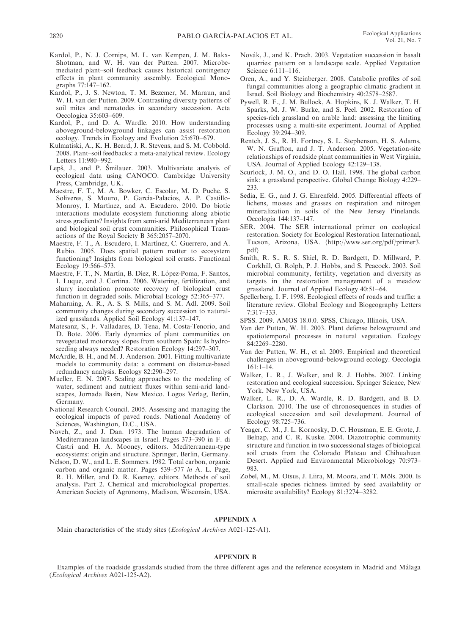- Kardol, P., N. J. Cornips, M. L. van Kempen, J. M. Bakx-Shotman, and W. H. van der Putten. 2007. Microbemediated plant–soil feedback causes historical contingency effects in plant community assembly. Ecological Monographs 77:147–162.
- Kardol, P., J. S. Newton, T. M. Bezemer, M. Maraun, and W. H. van der Putten. 2009. Contrasting diversity patterns of soil mites and nematodes in secondary succession. Acta Oecologica 35:603–609.
- Kardol, P., and D. A. Wardle. 2010. How understanding aboveground-belowground linkages can assist restoration ecology. Trends in Ecology and Evolution 25:670–679.
- Kulmatiski, A., K. H. Beard, J. R. Stevens, and S. M. Cobbold. 2008. Plant–soil feedbacks: a meta-analytical review. Ecology Letters 11:980–992.
- Lepš, J., and P. Šmilauer. 2003. Multivariate analysis of ecological data using CANOCO. Cambridge University Press, Cambridge, UK.
- Maestre, F. T., M. A. Bowker, C. Escolar, M. D. Puche, S. Soliveres, S. Mouro, P. García-Palacios, A. P. Castillo-Monroy, I. Martínez, and A. Escudero. 2010. Do biotic interactions modulate ecosystem functioning along abiotic stress gradients? Insights from semi-arid Mediterranean plant and biological soil crust communities. Philosophical Transactions of the Royal Society B 365:2057–2070.
- Maestre, F. T., A. Escudero, I. Martínez, C. Guerrero, and A. Rubio. 2005. Does spatial pattern matter to ecosystem functioning? Insights from biological soil crusts. Functional Ecology 19:566–573.
- Maestre, F. T., N. Martín, B. Díez, R. López-Poma, F. Santos, I. Luque, and J. Cortina. 2006. Watering, fertilization, and slurry inoculation promote recovery of biological crust function in degraded soils. Microbial Ecology 52:365–377.
- Maharning, A. R., A. S. S. Mills, and S. M. Adl. 2009. Soil community changes during secondary succession to naturalized grasslands. Applied Soil Ecology 41:137–147.
- Matesanz, S., F. Valladares, D. Tena, M. Costa-Tenorio, and D. Bote. 2006. Early dynamics of plant communities on revegetated motorway slopes from southern Spain: Is hydroseeding always needed? Restoration Ecology 14:297–307.
- McArdle, B. H., and M. J. Anderson. 2001. Fitting multivariate models to community data: a comment on distance-based redundancy analysis. Ecology 82:290–297.
- Mueller, E. N. 2007. Scaling approaches to the modeling of water, sediment and nutrient fluxes within semi-arid landscapes, Jornada Basin, New Mexico. Logos Verlag, Berlin, Germany.
- National Research Council. 2005. Assessing and managing the ecological impacts of paved roads. National Academy of Sciences, Washington, D.C., USA.
- Naveh, Z., and J. Dan. 1973. The human degradation of Mediterranean landscapes in Israel. Pages 373–390 in F. di Castri and H. A. Mooney, editors. Mediterranean-type ecosystems: origin and structure. Springer, Berlin, Germany.
- Nelson, D. W., and L. E. Sommers. 1982. Total carbon, organic carbon and organic matter. Pages 539–577 in A. L. Page, R. H. Miller, and D. R. Keeney, editors. Methods of soil analysis. Part 2. Chemical and microbiological properties. American Society of Agronomy, Madison, Wisconsin, USA.
- Novák, J., and K. Prach. 2003. Vegetation succession in basalt quarries: pattern on a landscape scale. Applied Vegetation Science 6:111–116.
- Oren, A., and Y. Steinberger. 2008. Catabolic profiles of soil fungal communities along a geographic climatic gradient in Israel. Soil Biology and Biochemistry 40:2578–2587.
- Pywell, R. F., J. M. Bullock, A. Hopkins, K. J. Walker, T. H. Sparks, M. J. W. Burke, and S. Peel. 2002. Restoration of species-rich grassland on arable land: assessing the limiting processes using a multi-site experiment. Journal of Applied Ecology 39:294–309.
- Rentch, J. S., R. H. Fortney, S. L. Stephenson, H. S. Adams, W. N. Grafton, and J. T. Anderson. 2005. Vegetation-site relationships of roadside plant communities in West Virginia, USA. Journal of Applied Ecology 42:129–138.
- Scurlock, J. M. O., and D. O. Hall. 1998. The global carbon sink: a grassland perspective. Global Change Biology 4:229– 233.
- Sedia, E. G., and J. G. Ehrenfeld. 2005. Differential effects of lichens, mosses and grasses on respiration and nitrogen mineralization in soils of the New Jersey Pinelands. Oecologia 144:137–147.
- SER. 2004. The SER international primer on ecological restoration. Society for Ecological Restoration International, Tucson, Arizona, USA. (http://www.ser.org/pdf/primer3. pdf)
- Smith, R. S., R. S. Shiel, R. D. Bardgett, D. Millward, P. Corkhill, G. Rolph, P. J. Hobbs, and S. Peacock. 2003. Soil microbial community, fertility, vegetation and diversity as targets in the restoration management of a meadow grassland. Journal of Applied Ecology 40:51–64.
- Spellerberg, I. F. 1998. Ecological effects of roads and traffic: a literature review. Global Ecology and Biogeography Letters 7:317–333.
- SPSS. 2009. AMOS 18.0.0. SPSS, Chicago, Illinois, USA.
- Van der Putten, W. H. 2003. Plant defense belowground and spatiotemporal processes in natural vegetation. Ecology 84:2269–2280.
- Van der Putten, W. H., et al. 2009. Empirical and theoretical challenges in aboveground–belowground ecology. Oecologia 161:1–14.
- Walker, L. R., J. Walker, and R. J. Hobbs. 2007. Linking restoration and ecological succession. Springer Science, New York, New York, USA.
- Walker, L. R., D. A. Wardle, R. D. Bardgett, and B. D. Clarkson. 2010. The use of chronosequences in studies of ecological succession and soil development. Journal of Ecology 98:725–736.
- Yeager, C. M., J. L. Kornosky, D. C. Housman, E. E. Grote, J. Belnap, and C. R. Kuske. 2004. Diazotrophic community structure and function in two successional stages of biological soil crusts from the Colorado Plateau and Chihuahuan Desert. Applied and Environmental Microbiology 70:973– 983.
- Zobel, M., M. Otsus, J. Liira, M. Moora, and T. Möls. 2000. Is small-scale species richness limited by seed availability or microsite availability? Ecology 81:3274–3282.

#### APPENDIX A

Main characteristics of the study sites (Ecological Archives A021-125-A1).

#### APPENDIX B

Examples of the roadside grasslands studied from the three different ages and the reference ecosystem in Madrid and Málaga (Ecological Archives A021-125-A2).